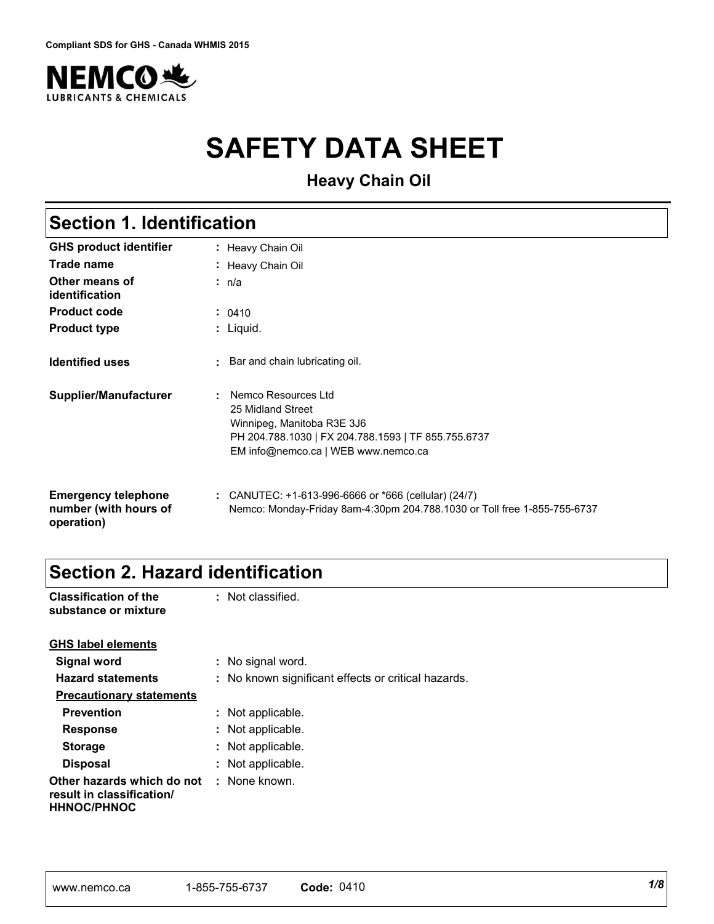

# **SAFETY DATA SHEET**

**Heavy Chain Oil**

## **Section 1. Identification**

| <b>GHS product identifier</b>                                     | : Heavy Chain Oil                                                                                                                                                    |
|-------------------------------------------------------------------|----------------------------------------------------------------------------------------------------------------------------------------------------------------------|
| <b>Trade name</b>                                                 | : Heavy Chain Oil                                                                                                                                                    |
| Other means of<br>identification                                  | ∶ n/a                                                                                                                                                                |
| <b>Product code</b>                                               | : 0410                                                                                                                                                               |
| <b>Product type</b>                                               | : Liquid.                                                                                                                                                            |
| <b>Identified uses</b>                                            | : Bar and chain lubricating oil.                                                                                                                                     |
| Supplier/Manufacturer                                             | Nemco Resources Ltd<br>25 Midland Street<br>Winnipeg, Manitoba R3E 3J6<br>PH 204.788.1030   FX 204.788.1593   TF 855.755.6737<br>EM info@nemco.ca   WEB www.nemco.ca |
| <b>Emergency telephone</b><br>number (with hours of<br>operation) | : CANUTEC: $+1-613-996-6666$ or $*666$ (cellular) (24/7)<br>Nemco: Monday-Friday 8am-4:30pm 204.788.1030 or Toll free 1-855-755-6737                                 |

## **Section 2. Hazard identification**

**he** : Not classified.

**Classification of t** 

| substance or mixture                                                          |                                                     |
|-------------------------------------------------------------------------------|-----------------------------------------------------|
| <b>GHS label elements</b>                                                     |                                                     |
| Signal word                                                                   | : No signal word.                                   |
| <b>Hazard statements</b>                                                      | : No known significant effects or critical hazards. |
| <b>Precautionary statements</b>                                               |                                                     |
| <b>Prevention</b>                                                             | : Not applicable.                                   |
| <b>Response</b>                                                               | : Not applicable.                                   |
| <b>Storage</b>                                                                | : Not applicable.                                   |
| <b>Disposal</b>                                                               | : Not applicable.                                   |
| Other hazards which do not<br>result in classification/<br><b>HHNOC/PHNOC</b> | : None known.                                       |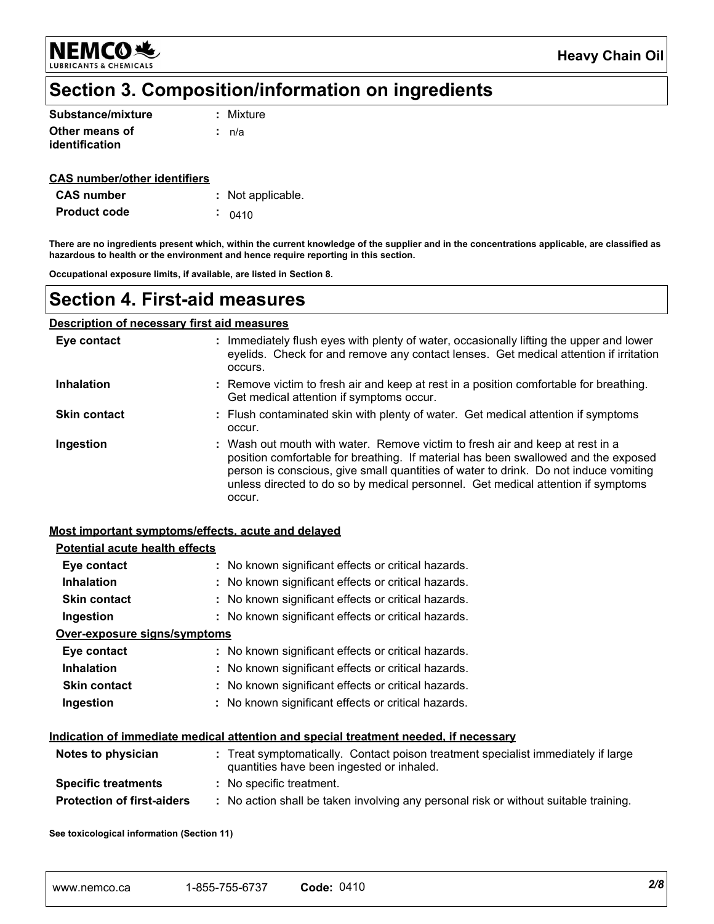NEMCO头 **LUBRICANTS & CHEMICALS** 

## Section 3. Composition/information on ingredients

| Substance/mixture | : Mixture |
|-------------------|-----------|
| Other means of    | ∴ n/a     |
| identification    |           |

#### **CAS number/other identifiers**

| <b>CAS</b> number   | : Not applicable. |
|---------------------|-------------------|
| <b>Product code</b> | $-0410$           |

There are no ingredients present which, within the current knowledge of the supplier and in the concentrations applicable, are classified as hazardous to health or the environment and hence require reporting in this section.

Occupational exposure limits, if available, are listed in Section 8.

### **Section 4. First-aid measures**

#### **Description of necessary first aid measures**

| Eye contact         | : Immediately flush eyes with plenty of water, occasionally lifting the upper and lower<br>eyelids. Check for and remove any contact lenses. Get medical attention if irritation<br>occurs.                                                                                                                                                               |
|---------------------|-----------------------------------------------------------------------------------------------------------------------------------------------------------------------------------------------------------------------------------------------------------------------------------------------------------------------------------------------------------|
| <b>Inhalation</b>   | : Remove victim to fresh air and keep at rest in a position comfortable for breathing.<br>Get medical attention if symptoms occur.                                                                                                                                                                                                                        |
| <b>Skin contact</b> | : Flush contaminated skin with plenty of water. Get medical attention if symptoms<br>occur.                                                                                                                                                                                                                                                               |
| Ingestion           | : Wash out mouth with water. Remove victim to fresh air and keep at rest in a<br>position comfortable for breathing. If material has been swallowed and the exposed<br>person is conscious, give small quantities of water to drink. Do not induce vomiting<br>unless directed to do so by medical personnel. Get medical attention if symptoms<br>occur. |

#### Most important symptoms/effects, acute and delayed

| Potential acute health effects    |                                                                                                                                |
|-----------------------------------|--------------------------------------------------------------------------------------------------------------------------------|
| Eye contact                       | : No known significant effects or critical hazards.                                                                            |
| <b>Inhalation</b>                 | : No known significant effects or critical hazards.                                                                            |
| <b>Skin contact</b>               | : No known significant effects or critical hazards.                                                                            |
| Ingestion                         | : No known significant effects or critical hazards.                                                                            |
| Over-exposure signs/symptoms      |                                                                                                                                |
| Eye contact                       | : No known significant effects or critical hazards.                                                                            |
| <b>Inhalation</b>                 | : No known significant effects or critical hazards.                                                                            |
| <b>Skin contact</b>               | : No known significant effects or critical hazards.                                                                            |
| Ingestion                         | : No known significant effects or critical hazards.                                                                            |
|                                   | <u>Indication of immediate medical attention and special treatment needed, if necessary</u>                                    |
| Notes to physician                | : Treat symptomatically. Contact poison treatment specialist immediately if large<br>quantities have been ingested or inhaled. |
| <b>Specific treatments</b>        | : No specific treatment.                                                                                                       |
| <b>Protection of first-aiders</b> | : No action shall be taken involving any personal risk or without suitable training.                                           |
|                                   |                                                                                                                                |

See toxicological information (Section 11)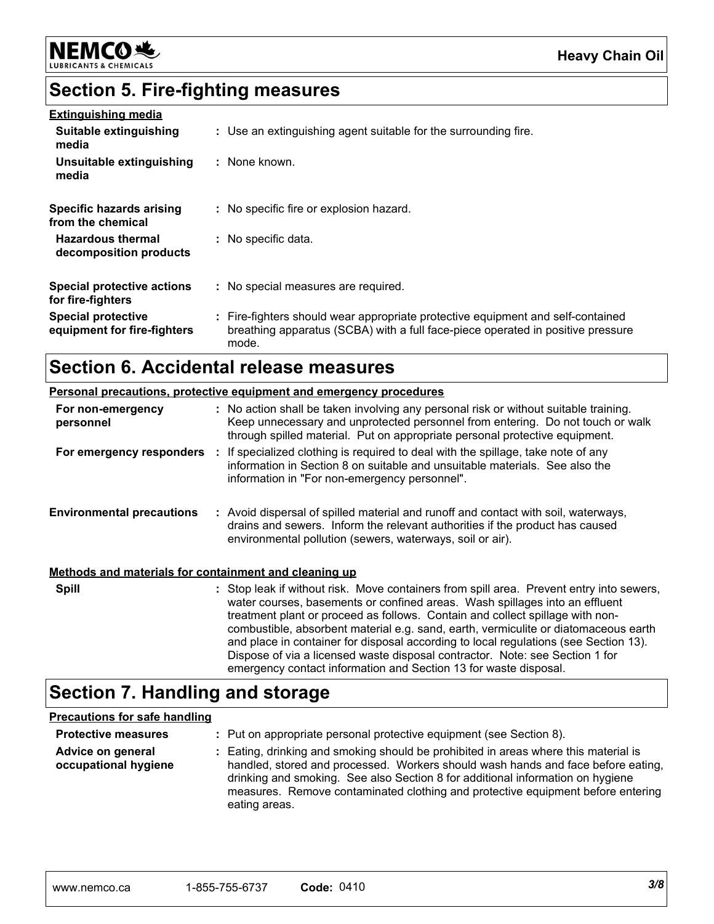

## **Section 5. Fire-fighting measures**

| <b>Extinguishing media</b>                               |                                                                                                                                                                             |
|----------------------------------------------------------|-----------------------------------------------------------------------------------------------------------------------------------------------------------------------------|
| Suitable extinguishing<br>media                          | : Use an extinguishing agent suitable for the surrounding fire.                                                                                                             |
| Unsuitable extinguishing<br>media                        | : None known.                                                                                                                                                               |
| Specific hazards arising<br>from the chemical            | : No specific fire or explosion hazard.                                                                                                                                     |
| <b>Hazardous thermal</b><br>decomposition products       | : No specific data.                                                                                                                                                         |
| <b>Special protective actions</b><br>for fire-fighters   | : No special measures are required.                                                                                                                                         |
| <b>Special protective</b><br>equipment for fire-fighters | : Fire-fighters should wear appropriate protective equipment and self-contained<br>breathing apparatus (SCBA) with a full face-piece operated in positive pressure<br>mode. |

## Section 6. Accidental release measures

|                                                       | <b>Personal precautions, protective equipment and emergency procedures</b>                                                                                                                                                                                                                                                                                                                                                                                                                                              |
|-------------------------------------------------------|-------------------------------------------------------------------------------------------------------------------------------------------------------------------------------------------------------------------------------------------------------------------------------------------------------------------------------------------------------------------------------------------------------------------------------------------------------------------------------------------------------------------------|
| For non-emergency<br>personnel                        | : No action shall be taken involving any personal risk or without suitable training.<br>Keep unnecessary and unprotected personnel from entering. Do not touch or walk<br>through spilled material. Put on appropriate personal protective equipment.                                                                                                                                                                                                                                                                   |
| For emergency responders :                            | If specialized clothing is required to deal with the spillage, take note of any<br>information in Section 8 on suitable and unsuitable materials. See also the<br>information in "For non-emergency personnel".                                                                                                                                                                                                                                                                                                         |
| <b>Environmental precautions</b>                      | : Avoid dispersal of spilled material and runoff and contact with soil, waterways,<br>drains and sewers. Inform the relevant authorities if the product has caused<br>environmental pollution (sewers, waterways, soil or air).                                                                                                                                                                                                                                                                                         |
| Methods and materials for containment and cleaning up |                                                                                                                                                                                                                                                                                                                                                                                                                                                                                                                         |
| <b>Spill</b>                                          | : Stop leak if without risk. Move containers from spill area. Prevent entry into sewers,<br>water courses, basements or confined areas. Wash spillages into an effluent<br>treatment plant or proceed as follows. Contain and collect spillage with non-<br>combustible, absorbent material e.g. sand, earth, vermiculite or diatomaceous earth<br>and place in container for disposal according to local regulations (see Section 13).<br>Dispose of via a licensed waste disposal contractor. Note: see Section 1 for |

## **Section 7. Handling and storage**

#### **Precautions for safe handling**

| <b>Protective measures</b>                | : Put on appropriate personal protective equipment (see Section 8).                                                                                                                                                                                                                                                                                           |
|-------------------------------------------|---------------------------------------------------------------------------------------------------------------------------------------------------------------------------------------------------------------------------------------------------------------------------------------------------------------------------------------------------------------|
| Advice on general<br>occupational hygiene | : Eating, drinking and smoking should be prohibited in areas where this material is<br>handled, stored and processed. Workers should wash hands and face before eating,<br>drinking and smoking. See also Section 8 for additional information on hygiene<br>measures. Remove contaminated clothing and protective equipment before entering<br>eating areas. |

emergency contact information and Section 13 for waste disposal.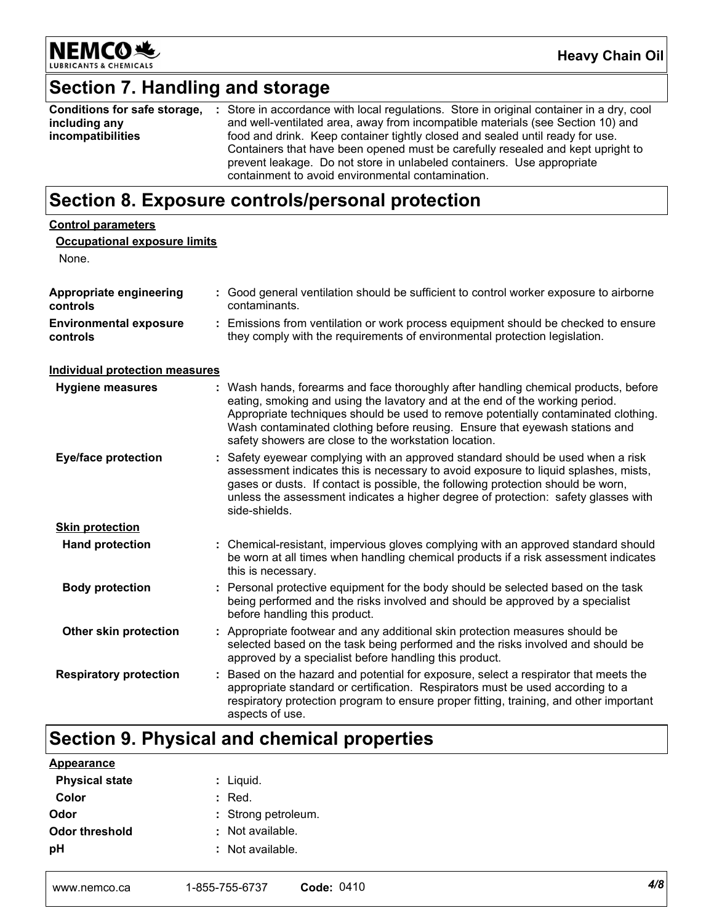

## Section 7. Handling and storage

| Conditions for safe storage, | : Store in accordance with local regulations. Store in original container in a dry, cool |
|------------------------------|------------------------------------------------------------------------------------------|
| including any                | and well-ventilated area, away from incompatible materials (see Section 10) and          |
| incompatibilities            | food and drink. Keep container tightly closed and sealed until ready for use.            |
|                              | Containers that have been opened must be carefully resealed and kept upright to          |
|                              | prevent leakage. Do not store in unlabeled containers. Use appropriate                   |
|                              | containment to avoid environmental contamination.                                        |

## Section 8. Exposure controls/personal protection

| <b>Control parameters</b><br><b>Occupational exposure limits</b><br>None. |                                                                                                                                                                                                                                                                                                                                                                                                   |
|---------------------------------------------------------------------------|---------------------------------------------------------------------------------------------------------------------------------------------------------------------------------------------------------------------------------------------------------------------------------------------------------------------------------------------------------------------------------------------------|
| Appropriate engineering<br>controls                                       | : Good general ventilation should be sufficient to control worker exposure to airborne<br>contaminants.                                                                                                                                                                                                                                                                                           |
| <b>Environmental exposure</b><br>controls                                 | : Emissions from ventilation or work process equipment should be checked to ensure<br>they comply with the requirements of environmental protection legislation.                                                                                                                                                                                                                                  |
| <b>Individual protection measures</b>                                     |                                                                                                                                                                                                                                                                                                                                                                                                   |
| <b>Hygiene measures</b>                                                   | : Wash hands, forearms and face thoroughly after handling chemical products, before<br>eating, smoking and using the lavatory and at the end of the working period.<br>Appropriate techniques should be used to remove potentially contaminated clothing.<br>Wash contaminated clothing before reusing. Ensure that eyewash stations and<br>safety showers are close to the workstation location. |
| <b>Eye/face protection</b>                                                | : Safety eyewear complying with an approved standard should be used when a risk<br>assessment indicates this is necessary to avoid exposure to liquid splashes, mists,<br>gases or dusts. If contact is possible, the following protection should be worn,<br>unless the assessment indicates a higher degree of protection: safety glasses with<br>side-shields.                                 |
| <b>Skin protection</b>                                                    |                                                                                                                                                                                                                                                                                                                                                                                                   |
| <b>Hand protection</b>                                                    | : Chemical-resistant, impervious gloves complying with an approved standard should<br>be worn at all times when handling chemical products if a risk assessment indicates<br>this is necessary.                                                                                                                                                                                                   |
| <b>Body protection</b>                                                    | : Personal protective equipment for the body should be selected based on the task<br>being performed and the risks involved and should be approved by a specialist<br>before handling this product.                                                                                                                                                                                               |
| Other skin protection                                                     | : Appropriate footwear and any additional skin protection measures should be<br>selected based on the task being performed and the risks involved and should be<br>approved by a specialist before handling this product.                                                                                                                                                                         |
| <b>Respiratory protection</b>                                             | : Based on the hazard and potential for exposure, select a respirator that meets the<br>appropriate standard or certification. Respirators must be used according to a<br>respiratory protection program to ensure proper fitting, training, and other important<br>aspects of use.                                                                                                               |

## Section 9. Physical and chemical properties

| <b>Appearance</b>     |                     |
|-----------------------|---------------------|
| <b>Physical state</b> | : Liquid.           |
| Color                 | $:$ Red.            |
| Odor                  | : Strong petroleum. |
| Odor threshold        | : Not available.    |
| рH                    | : Not available.    |
|                       |                     |
|                       |                     |

| www.nemco.ca | 1-855-755-6737 | Code: 0410 |
|--------------|----------------|------------|
|--------------|----------------|------------|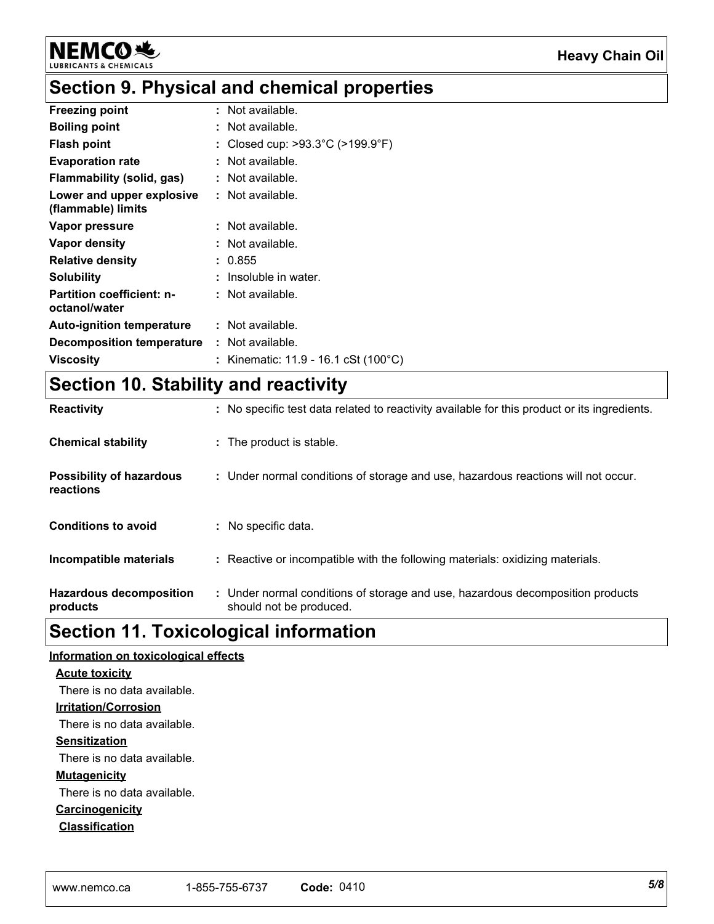

## Section 9. Physical and chemical properties

| <b>Freezing point</b>                             | : Not available.                                    |
|---------------------------------------------------|-----------------------------------------------------|
| <b>Boiling point</b>                              | : Not available.                                    |
| <b>Flash point</b>                                | Closed cup: $>93.3^{\circ}$ C ( $>199.9^{\circ}$ F) |
| <b>Evaporation rate</b>                           | Not available.                                      |
| Flammability (solid, gas)                         | : Not available.                                    |
| Lower and upper explosive<br>(flammable) limits   | : Not available.                                    |
| Vapor pressure                                    | : Not available.                                    |
| Vapor density                                     | : Not available.                                    |
| <b>Relative density</b>                           | 0.855                                               |
| Solubility                                        | Insoluble in water.                                 |
| <b>Partition coefficient: n-</b><br>octanol/water | : Not available.                                    |
| <b>Auto-ignition temperature</b>                  | : Not available.                                    |
| <b>Decomposition temperature</b>                  | : Not available.                                    |
| <b>Viscosity</b>                                  | : Kinematic: 11.9 - 16.1 cSt (100°C)                |

## Section 10. Stability and reactivity

| <b>Hazardous decomposition</b><br>products   | : Under normal conditions of storage and use, hazardous decomposition products<br>should not be produced. |
|----------------------------------------------|-----------------------------------------------------------------------------------------------------------|
| Incompatible materials                       | : Reactive or incompatible with the following materials: oxidizing materials.                             |
| <b>Conditions to avoid</b>                   | : No specific data.                                                                                       |
| <b>Possibility of hazardous</b><br>reactions | : Under normal conditions of storage and use, hazardous reactions will not occur.                         |
| <b>Chemical stability</b>                    | : The product is stable.                                                                                  |
| <b>Reactivity</b>                            | : No specific test data related to reactivity available for this product or its ingredients.              |

## **Section 11. Toxicological information**

#### Information on toxicological effects

#### **Acute toxicity**

There is no data available.

#### **Irritation/Corrosion**

There is no data available.

#### **Sensitization**

There is no data available.

#### **Mutagenicity**

There is no data available.

#### Carcinogenicity

**Classification**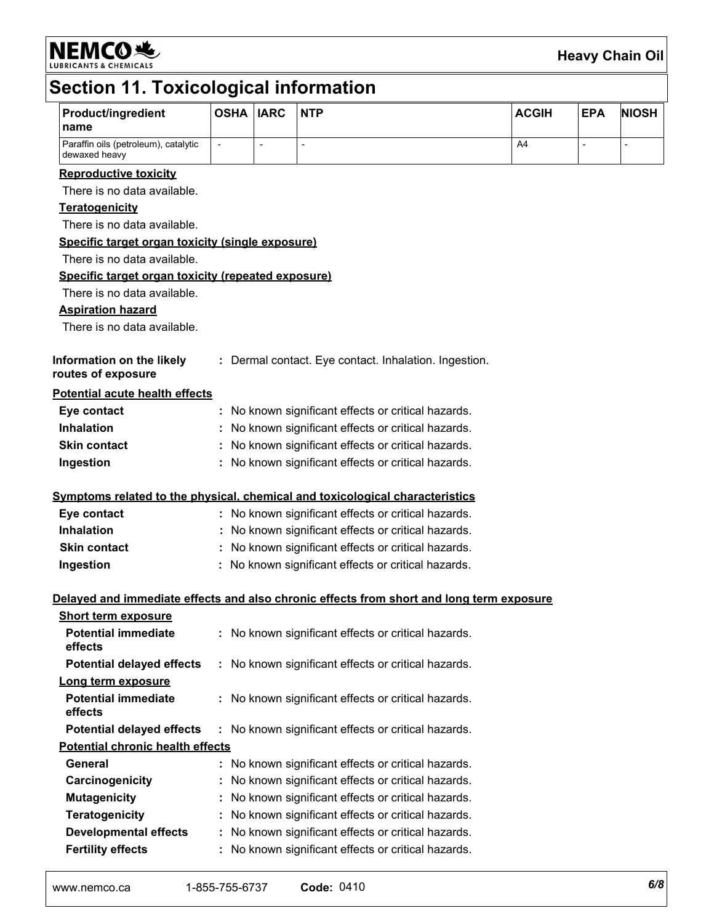NEMCO<sup>.</sup>

### **Heavy Chain Oil**

# Section 11. Toxicological information

| <b>Product/ingredient</b><br>name                                                                        | <b>OSHA IARC</b>                                    |                          | <b>NTP</b>                                                                               | <b>ACGIH</b> | <b>EPA</b>     | <b>NIOSH</b>             |
|----------------------------------------------------------------------------------------------------------|-----------------------------------------------------|--------------------------|------------------------------------------------------------------------------------------|--------------|----------------|--------------------------|
| Paraffin oils (petroleum), catalytic<br>dewaxed heavy                                                    | $\overline{\phantom{a}}$                            | $\overline{\phantom{a}}$ | $\overline{a}$                                                                           | A4           | $\blacksquare$ | $\overline{\phantom{0}}$ |
| <b>Reproductive toxicity</b>                                                                             |                                                     |                          |                                                                                          |              |                |                          |
| There is no data available.                                                                              |                                                     |                          |                                                                                          |              |                |                          |
| <b>Teratogenicity</b>                                                                                    |                                                     |                          |                                                                                          |              |                |                          |
| There is no data available.                                                                              |                                                     |                          |                                                                                          |              |                |                          |
| Specific target organ toxicity (single exposure)                                                         |                                                     |                          |                                                                                          |              |                |                          |
| There is no data available.                                                                              |                                                     |                          |                                                                                          |              |                |                          |
| Specific target organ toxicity (repeated exposure)                                                       |                                                     |                          |                                                                                          |              |                |                          |
| There is no data available.                                                                              |                                                     |                          |                                                                                          |              |                |                          |
| <b>Aspiration hazard</b>                                                                                 |                                                     |                          |                                                                                          |              |                |                          |
| There is no data available.                                                                              |                                                     |                          |                                                                                          |              |                |                          |
| Information on the likely<br>: Dermal contact. Eye contact. Inhalation. Ingestion.<br>routes of exposure |                                                     |                          |                                                                                          |              |                |                          |
| <b>Potential acute health effects</b>                                                                    |                                                     |                          |                                                                                          |              |                |                          |
| Eye contact                                                                                              |                                                     |                          | : No known significant effects or critical hazards.                                      |              |                |                          |
| <b>Inhalation</b>                                                                                        | No known significant effects or critical hazards.   |                          |                                                                                          |              |                |                          |
| <b>Skin contact</b>                                                                                      | No known significant effects or critical hazards.   |                          |                                                                                          |              |                |                          |
| Ingestion                                                                                                |                                                     |                          | : No known significant effects or critical hazards.                                      |              |                |                          |
|                                                                                                          |                                                     |                          | Symptoms related to the physical, chemical and toxicological characteristics             |              |                |                          |
| Eye contact                                                                                              |                                                     |                          | : No known significant effects or critical hazards.                                      |              |                |                          |
| <b>Inhalation</b>                                                                                        | : No known significant effects or critical hazards. |                          |                                                                                          |              |                |                          |
| <b>Skin contact</b>                                                                                      | : No known significant effects or critical hazards. |                          |                                                                                          |              |                |                          |
| Ingestion                                                                                                | : No known significant effects or critical hazards. |                          |                                                                                          |              |                |                          |
|                                                                                                          |                                                     |                          | Delayed and immediate effects and also chronic effects from short and long term exposure |              |                |                          |
| <b>Short term exposure</b>                                                                               |                                                     |                          |                                                                                          |              |                |                          |
| <b>Potential immediate</b><br>effects                                                                    |                                                     |                          | : No known significant effects or critical hazards.                                      |              |                |                          |
| <b>Potential delayed effects</b>                                                                         |                                                     |                          | : No known significant effects or critical hazards.                                      |              |                |                          |
| Long term exposure                                                                                       |                                                     |                          |                                                                                          |              |                |                          |
| <b>Potential immediate</b><br>effects                                                                    | : No known significant effects or critical hazards. |                          |                                                                                          |              |                |                          |
| <b>Potential delayed effects</b>                                                                         |                                                     |                          | : No known significant effects or critical hazards.                                      |              |                |                          |
| <b>Potential chronic health effects</b>                                                                  |                                                     |                          |                                                                                          |              |                |                          |
| General                                                                                                  |                                                     |                          | : No known significant effects or critical hazards.                                      |              |                |                          |
| Carcinogenicity                                                                                          |                                                     |                          | No known significant effects or critical hazards.                                        |              |                |                          |
| <b>Mutagenicity</b>                                                                                      |                                                     |                          | No known significant effects or critical hazards.                                        |              |                |                          |
| <b>Teratogenicity</b>                                                                                    |                                                     |                          | No known significant effects or critical hazards.                                        |              |                |                          |
| <b>Developmental effects</b>                                                                             | No known significant effects or critical hazards.   |                          |                                                                                          |              |                |                          |
| <b>Fertility effects</b>                                                                                 | : No known significant effects or critical hazards. |                          |                                                                                          |              |                |                          |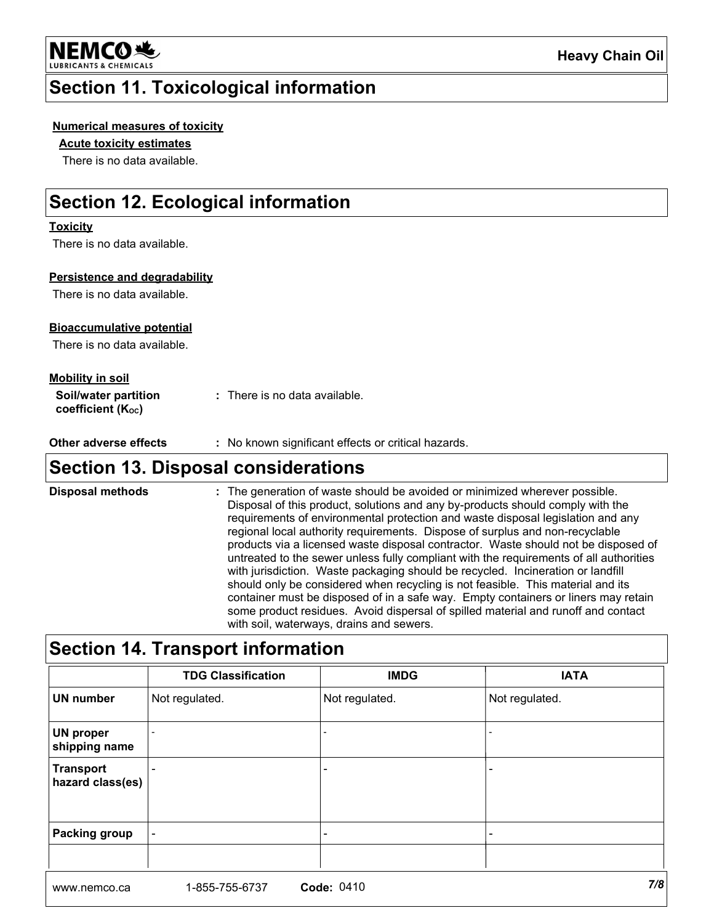

## **Section 11. Toxicological information**

#### **Numerical measures of toxicity**

#### **Acute toxicity estimates**

There is no data available.

## **Section 12. Ecological information**

#### **Toxicity**

There is no data available.

#### Persistence and degradability

There is no data available.

#### **Bioaccumulative potential**

There is no data available.

#### **Mobility in soil**

| Soil/water partition   | : There is no data available. |
|------------------------|-------------------------------|
| coefficient $(K_{oc})$ |                               |

**Other adverse effects** : No known significant effects or critical hazards.

### **Section 13. Disposal considerations**

**Disposal methods** : The generation of waste should be avoided or minimized wherever possible. Disposal of this product, solutions and any by-products should comply with the requirements of environmental protection and waste disposal legislation and any regional local authority requirements. Dispose of surplus and non-recyclable products via a licensed waste disposal contractor. Waste should not be disposed of untreated to the sewer unless fully compliant with the requirements of all authorities with jurisdiction. Waste packaging should be recycled. Incineration or landfill should only be considered when recycling is not feasible. This material and its container must be disposed of in a safe way. Empty containers or liners may retain some product residues. Avoid dispersal of spilled material and runoff and contact with soil, waterways, drains and sewers.

## **Section 14. Transport information**

|                                      | <b>TDG Classification</b> | <b>IMDG</b>              | <b>IATA</b>    |
|--------------------------------------|---------------------------|--------------------------|----------------|
| <b>UN number</b>                     | Not regulated.            | Not regulated.           | Not regulated. |
| <b>UN proper</b><br>shipping name    |                           |                          |                |
| <b>Transport</b><br>hazard class(es) |                           | ٠                        |                |
| <b>Packing group</b>                 |                           | $\overline{\phantom{a}}$ |                |
|                                      |                           |                          |                |
|                                      |                           | $\sim$ $\sim$ $\sim$     | 7/0            |